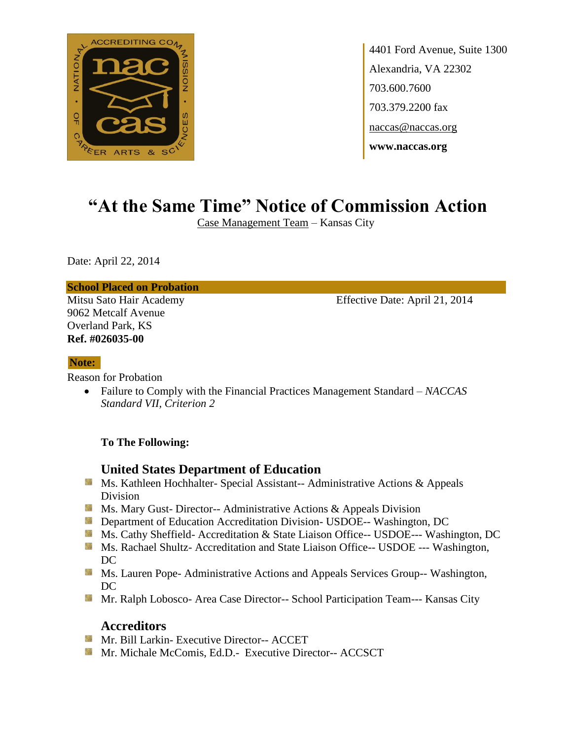

4401 Ford Avenue, Suite 1300 Alexandria, VA 22302 703.600.7600 703.379.2200 fax naccas@naccas.org **www.naccas.org**

# **"At the Same Time" Notice of Commission Action**

Case Management Team – Kansas City

Date: April 22, 2014

#### **School Placed on Probation**

9062 Metcalf Avenue Overland Park, KS **Ref. #026035-00**

Mitsu Sato Hair Academy Effective Date: April 21, 2014

#### **Note:**

Reason for Probation

 Failure to Comply with the Financial Practices Management Standard – *NACCAS Standard VII, Criterion 2*

#### **To The Following:**

## **United States Department of Education**

- Ms. Kathleen Hochhalter- Special Assistant-- Administrative Actions & Appeals Division
- **Ms. Mary Gust- Director-- Administrative Actions & Appeals Division**
- **Department of Education Accreditation Division- USDOE-- Washington, DC**
- Ms. Cathy Sheffield- Accreditation & State Liaison Office-- USDOE--- Washington, DC
- Ms. Rachael Shultz- Accreditation and State Liaison Office-- USDOE --- Washington, DC
- **MS. Lauren Pope- Administrative Actions and Appeals Services Group-- Washington,** DC
- Mr. Ralph Lobosco- Area Case Director-- School Participation Team--- Kansas City

## **Accreditors**

- **Mr. Bill Larkin- Executive Director-- ACCET**
- **Mr. Michale McComis, Ed.D.- Executive Director-- ACCSCT**